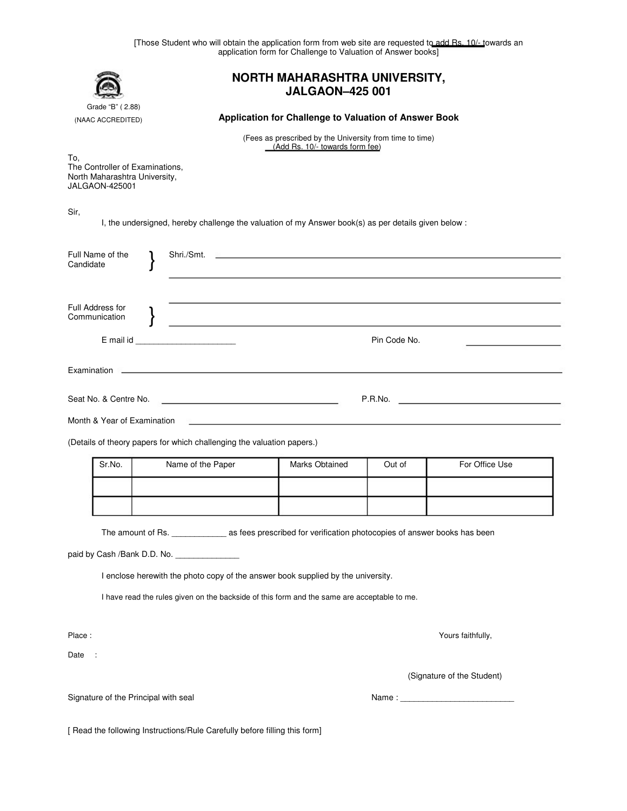|                                                                                                  | [Those Student who will obtain the application form from web site are requested to add Rs. 10/- towards an | application form for Challenge to Valuation of Answer books]                                                         |        |                   |  |
|--------------------------------------------------------------------------------------------------|------------------------------------------------------------------------------------------------------------|----------------------------------------------------------------------------------------------------------------------|--------|-------------------|--|
|                                                                                                  | <b>NORTH MAHARASHTRA UNIVERSITY,</b><br><b>JALGAON-425 001</b>                                             |                                                                                                                      |        |                   |  |
| Grade "B" (2.88)<br>(NAAC ACCREDITED)                                                            | Application for Challenge to Valuation of Answer Book                                                      |                                                                                                                      |        |                   |  |
|                                                                                                  | (Fees as prescribed by the University from time to time)<br>(Add Rs. 10/- towards form fee)                |                                                                                                                      |        |                   |  |
| To.<br>The Controller of Examinations,<br>North Maharashtra University,<br><b>JALGAON-425001</b> |                                                                                                            |                                                                                                                      |        |                   |  |
| Sir,                                                                                             | I, the undersigned, hereby challenge the valuation of my Answer book(s) as per details given below :       |                                                                                                                      |        |                   |  |
| Full Name of the<br>Candidate                                                                    | Shri./Smt.                                                                                                 |                                                                                                                      |        |                   |  |
| Full Address for<br>Communication                                                                | the control of the control of the control of the control of the control of the control of                  |                                                                                                                      |        |                   |  |
|                                                                                                  | Pin Code No.                                                                                               |                                                                                                                      |        |                   |  |
|                                                                                                  |                                                                                                            |                                                                                                                      |        |                   |  |
| Seat No. & Centre No.                                                                            |                                                                                                            |                                                                                                                      |        |                   |  |
| Month & Year of Examination                                                                      |                                                                                                            | <u> 1990 - Jan James James Jan James James James James James James James James James James James James James Jam</u> |        |                   |  |
| (Details of theory papers for which challenging the valuation papers.)                           |                                                                                                            |                                                                                                                      |        |                   |  |
| Sr.No.                                                                                           | Name of the Paper                                                                                          | Marks Obtained                                                                                                       | Out of | For Office Use    |  |
|                                                                                                  |                                                                                                            |                                                                                                                      |        |                   |  |
|                                                                                                  |                                                                                                            |                                                                                                                      |        |                   |  |
|                                                                                                  |                                                                                                            |                                                                                                                      |        |                   |  |
|                                                                                                  | I enclose herewith the photo copy of the answer book supplied by the university.                           |                                                                                                                      |        |                   |  |
|                                                                                                  | I have read the rules given on the backside of this form and the same are acceptable to me.                |                                                                                                                      |        |                   |  |
| Place:                                                                                           |                                                                                                            |                                                                                                                      |        | Yours faithfully, |  |
| Date :                                                                                           |                                                                                                            |                                                                                                                      |        |                   |  |
|                                                                                                  |                                                                                                            | (Signature of the Student)                                                                                           |        |                   |  |
| Signature of the Principal with seal                                                             |                                                                                                            |                                                                                                                      |        |                   |  |

[ Read the following Instructions/Rule Carefully before filling this form]